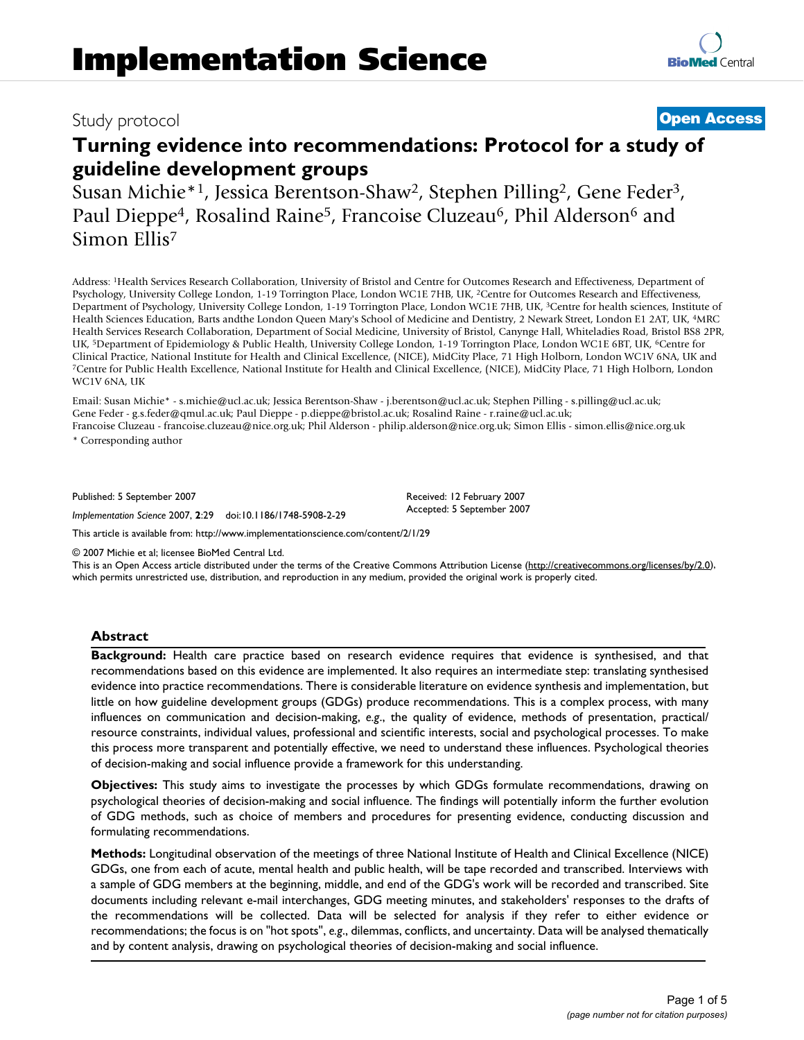# Study protocol **[Open Access](http://www.biomedcentral.com/info/about/charter/)**

# **Turning evidence into recommendations: Protocol for a study of guideline development groups**

Susan Michie\*1, Jessica Berentson-Shaw2, Stephen Pilling2, Gene Feder3, Paul Dieppe<sup>4</sup>, Rosalind Raine<sup>5</sup>, Francoise Cluzeau<sup>6</sup>, Phil Alderson<sup>6</sup> and Simon Ellis7

Address: 1Health Services Research Collaboration, University of Bristol and Centre for Outcomes Research and Effectiveness, Department of Psychology, University College London, 1-19 Torrington Place, London WC1E 7HB, UK, 2Centre for Outcomes Research and Effectiveness, Department of Psychology, University College London, 1-19 Torrington Place, London WC1E 7HB, UK, 3Centre for health sciences, Institute of Health Sciences Education, Barts andthe London Queen Mary's School of Medicine and Dentistry, 2 Newark Street, London E1 2AT, UK, 4MRC Health Services Research Collaboration, Department of Social Medicine, University of Bristol, Canynge Hall, Whiteladies Road, Bristol BS8 2PR, UK, 5Department of Epidemiology & Public Health, University College London, 1-19 Torrington Place, London WC1E 6BT, UK, 6Centre for Clinical Practice, National Institute for Health and Clinical Excellence, (NICE), MidCity Place, 71 High Holborn, London WC1V 6NA, UK and<br>7Centre for Public Health Excellence, National Institute for Health and Clinical Exc WC1V 6NA, UK

Email: Susan Michie\* - s.michie@ucl.ac.uk; Jessica Berentson-Shaw - j.berentson@ucl.ac.uk; Stephen Pilling - s.pilling@ucl.ac.uk; Gene Feder - g.s.feder@qmul.ac.uk; Paul Dieppe - p.dieppe@bristol.ac.uk; Rosalind Raine - r.raine@ucl.ac.uk; Francoise Cluzeau - francoise.cluzeau@nice.org.uk; Phil Alderson - philip.alderson@nice.org.uk; Simon Ellis - simon.ellis@nice.org.uk

\* Corresponding author

Published: 5 September 2007

*Implementation Science* 2007, **2**:29 doi:10.1186/1748-5908-2-29

[This article is available from: http://www.implementationscience.com/content/2/1/29](http://www.implementationscience.com/content/2/1/29)

© 2007 Michie et al; licensee BioMed Central Ltd.

This is an Open Access article distributed under the terms of the Creative Commons Attribution License [\(http://creativecommons.org/licenses/by/2.0\)](http://creativecommons.org/licenses/by/2.0), which permits unrestricted use, distribution, and reproduction in any medium, provided the original work is properly cited.

Received: 12 February 2007 Accepted: 5 September 2007

#### **Abstract**

**Background:** Health care practice based on research evidence requires that evidence is synthesised, and that recommendations based on this evidence are implemented. It also requires an intermediate step: translating synthesised evidence into practice recommendations. There is considerable literature on evidence synthesis and implementation, but little on how guideline development groups (GDGs) produce recommendations. This is a complex process, with many influences on communication and decision-making, *e.g*., the quality of evidence, methods of presentation, practical/ resource constraints, individual values, professional and scientific interests, social and psychological processes. To make this process more transparent and potentially effective, we need to understand these influences. Psychological theories of decision-making and social influence provide a framework for this understanding.

**Objectives:** This study aims to investigate the processes by which GDGs formulate recommendations, drawing on psychological theories of decision-making and social influence. The findings will potentially inform the further evolution of GDG methods, such as choice of members and procedures for presenting evidence, conducting discussion and formulating recommendations.

**Methods:** Longitudinal observation of the meetings of three National Institute of Health and Clinical Excellence (NICE) GDGs, one from each of acute, mental health and public health, will be tape recorded and transcribed. Interviews with a sample of GDG members at the beginning, middle, and end of the GDG's work will be recorded and transcribed. Site documents including relevant e-mail interchanges, GDG meeting minutes, and stakeholders' responses to the drafts of the recommendations will be collected. Data will be selected for analysis if they refer to either evidence or recommendations; the focus is on "hot spots", *e.g*., dilemmas, conflicts, and uncertainty. Data will be analysed thematically and by content analysis, drawing on psychological theories of decision-making and social influence.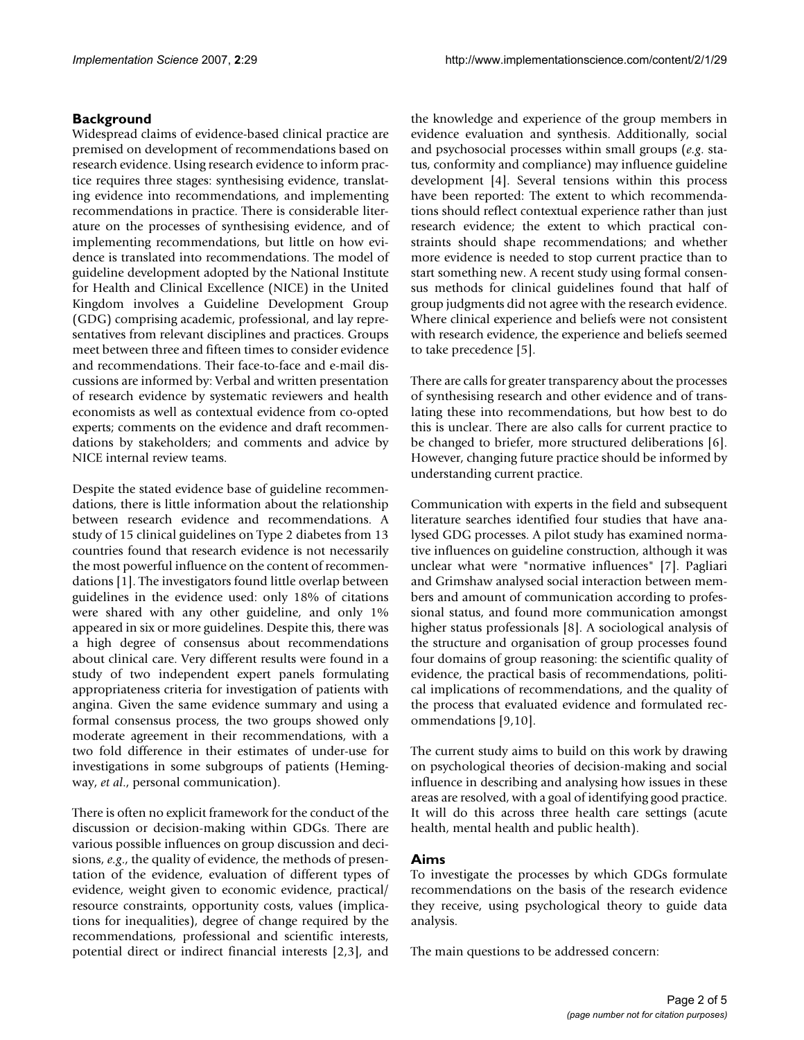### **Background**

Widespread claims of evidence-based clinical practice are premised on development of recommendations based on research evidence. Using research evidence to inform practice requires three stages: synthesising evidence, translating evidence into recommendations, and implementing recommendations in practice. There is considerable literature on the processes of synthesising evidence, and of implementing recommendations, but little on how evidence is translated into recommendations. The model of guideline development adopted by the National Institute for Health and Clinical Excellence (NICE) in the United Kingdom involves a Guideline Development Group (GDG) comprising academic, professional, and lay representatives from relevant disciplines and practices. Groups meet between three and fifteen times to consider evidence and recommendations. Their face-to-face and e-mail discussions are informed by: Verbal and written presentation of research evidence by systematic reviewers and health economists as well as contextual evidence from co-opted experts; comments on the evidence and draft recommendations by stakeholders; and comments and advice by NICE internal review teams.

Despite the stated evidence base of guideline recommendations, there is little information about the relationship between research evidence and recommendations. A study of 15 clinical guidelines on Type 2 diabetes from 13 countries found that research evidence is not necessarily the most powerful influence on the content of recommendations [1]. The investigators found little overlap between guidelines in the evidence used: only 18% of citations were shared with any other guideline, and only 1% appeared in six or more guidelines. Despite this, there was a high degree of consensus about recommendations about clinical care. Very different results were found in a study of two independent expert panels formulating appropriateness criteria for investigation of patients with angina. Given the same evidence summary and using a formal consensus process, the two groups showed only moderate agreement in their recommendations, with a two fold difference in their estimates of under-use for investigations in some subgroups of patients (Hemingway, *et al*., personal communication).

There is often no explicit framework for the conduct of the discussion or decision-making within GDGs. There are various possible influences on group discussion and decisions, *e.g*., the quality of evidence, the methods of presentation of the evidence, evaluation of different types of evidence, weight given to economic evidence, practical/ resource constraints, opportunity costs, values (implications for inequalities), degree of change required by the recommendations, professional and scientific interests, potential direct or indirect financial interests [2,3], and

the knowledge and experience of the group members in evidence evaluation and synthesis. Additionally, social and psychosocial processes within small groups (*e.g*. status, conformity and compliance) may influence guideline development [4]. Several tensions within this process have been reported: The extent to which recommendations should reflect contextual experience rather than just research evidence; the extent to which practical constraints should shape recommendations; and whether more evidence is needed to stop current practice than to start something new. A recent study using formal consensus methods for clinical guidelines found that half of group judgments did not agree with the research evidence. Where clinical experience and beliefs were not consistent with research evidence, the experience and beliefs seemed to take precedence [5].

There are calls for greater transparency about the processes of synthesising research and other evidence and of translating these into recommendations, but how best to do this is unclear. There are also calls for current practice to be changed to briefer, more structured deliberations [6]. However, changing future practice should be informed by understanding current practice.

Communication with experts in the field and subsequent literature searches identified four studies that have analysed GDG processes. A pilot study has examined normative influences on guideline construction, although it was unclear what were "normative influences" [7]. Pagliari and Grimshaw analysed social interaction between members and amount of communication according to professional status, and found more communication amongst higher status professionals [8]. A sociological analysis of the structure and organisation of group processes found four domains of group reasoning: the scientific quality of evidence, the practical basis of recommendations, political implications of recommendations, and the quality of the process that evaluated evidence and formulated recommendations [9,10].

The current study aims to build on this work by drawing on psychological theories of decision-making and social influence in describing and analysing how issues in these areas are resolved, with a goal of identifying good practice. It will do this across three health care settings (acute health, mental health and public health).

#### **Aims**

To investigate the processes by which GDGs formulate recommendations on the basis of the research evidence they receive, using psychological theory to guide data analysis.

The main questions to be addressed concern: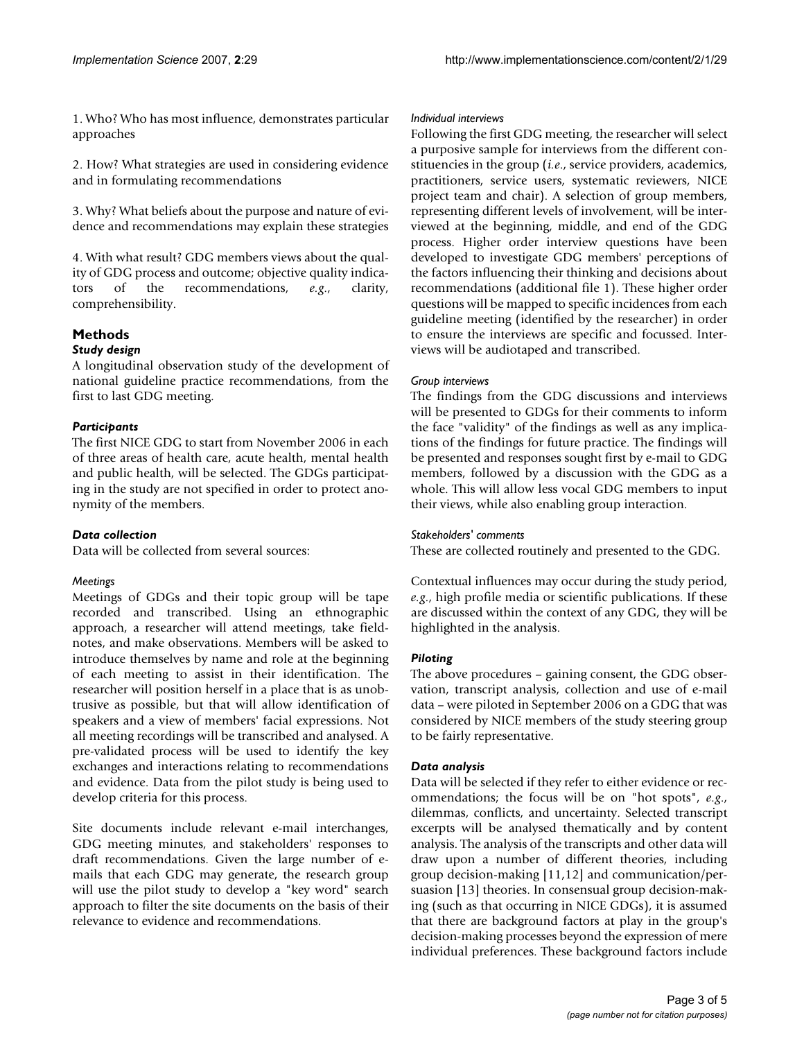1. Who? Who has most influence, demonstrates particular approaches

2. How? What strategies are used in considering evidence and in formulating recommendations

3. Why? What beliefs about the purpose and nature of evidence and recommendations may explain these strategies

4. With what result? GDG members views about the quality of GDG process and outcome; objective quality indicators of the recommendations, *e.g*., clarity, comprehensibility.

# **Methods**

### *Study design*

A longitudinal observation study of the development of national guideline practice recommendations, from the first to last GDG meeting.

### *Participants*

The first NICE GDG to start from November 2006 in each of three areas of health care, acute health, mental health and public health, will be selected. The GDGs participating in the study are not specified in order to protect anonymity of the members.

#### *Data collection*

Data will be collected from several sources:

#### *Meetings*

Meetings of GDGs and their topic group will be tape recorded and transcribed. Using an ethnographic approach, a researcher will attend meetings, take fieldnotes, and make observations. Members will be asked to introduce themselves by name and role at the beginning of each meeting to assist in their identification. The researcher will position herself in a place that is as unobtrusive as possible, but that will allow identification of speakers and a view of members' facial expressions. Not all meeting recordings will be transcribed and analysed. A pre-validated process will be used to identify the key exchanges and interactions relating to recommendations and evidence. Data from the pilot study is being used to develop criteria for this process.

Site documents include relevant e-mail interchanges, GDG meeting minutes, and stakeholders' responses to draft recommendations. Given the large number of emails that each GDG may generate, the research group will use the pilot study to develop a "key word" search approach to filter the site documents on the basis of their relevance to evidence and recommendations.

#### *Individual interviews*

Following the first GDG meeting, the researcher will select a purposive sample for interviews from the different constituencies in the group (*i.e*., service providers, academics, practitioners, service users, systematic reviewers, NICE project team and chair). A selection of group members, representing different levels of involvement, will be interviewed at the beginning, middle, and end of the GDG process. Higher order interview questions have been developed to investigate GDG members' perceptions of the factors influencing their thinking and decisions about recommendations (additional file 1). These higher order questions will be mapped to specific incidences from each guideline meeting (identified by the researcher) in order to ensure the interviews are specific and focussed. Interviews will be audiotaped and transcribed.

#### *Group interviews*

The findings from the GDG discussions and interviews will be presented to GDGs for their comments to inform the face "validity" of the findings as well as any implications of the findings for future practice. The findings will be presented and responses sought first by e-mail to GDG members, followed by a discussion with the GDG as a whole. This will allow less vocal GDG members to input their views, while also enabling group interaction.

#### *Stakeholders' comments*

These are collected routinely and presented to the GDG.

Contextual influences may occur during the study period, *e.g*., high profile media or scientific publications. If these are discussed within the context of any GDG, they will be highlighted in the analysis.

#### *Piloting*

The above procedures – gaining consent, the GDG observation, transcript analysis, collection and use of e-mail data – were piloted in September 2006 on a GDG that was considered by NICE members of the study steering group to be fairly representative.

#### *Data analysis*

Data will be selected if they refer to either evidence or recommendations; the focus will be on "hot spots", *e.g*., dilemmas, conflicts, and uncertainty. Selected transcript excerpts will be analysed thematically and by content analysis. The analysis of the transcripts and other data will draw upon a number of different theories, including group decision-making [11,12] and communication/persuasion [13] theories. In consensual group decision-making (such as that occurring in NICE GDGs), it is assumed that there are background factors at play in the group's decision-making processes beyond the expression of mere individual preferences. These background factors include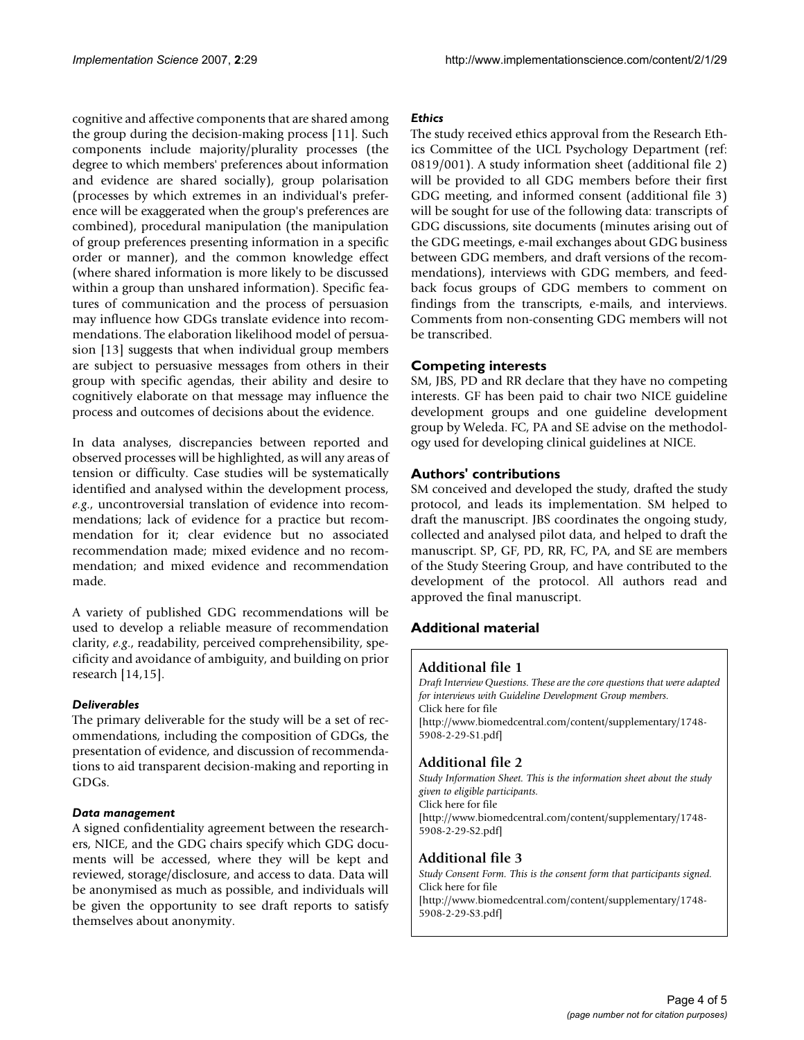cognitive and affective components that are shared among the group during the decision-making process [11]. Such components include majority/plurality processes (the degree to which members' preferences about information and evidence are shared socially), group polarisation (processes by which extremes in an individual's preference will be exaggerated when the group's preferences are combined), procedural manipulation (the manipulation of group preferences presenting information in a specific order or manner), and the common knowledge effect (where shared information is more likely to be discussed within a group than unshared information). Specific features of communication and the process of persuasion may influence how GDGs translate evidence into recommendations. The elaboration likelihood model of persuasion [13] suggests that when individual group members are subject to persuasive messages from others in their group with specific agendas, their ability and desire to cognitively elaborate on that message may influence the process and outcomes of decisions about the evidence.

In data analyses, discrepancies between reported and observed processes will be highlighted, as will any areas of tension or difficulty. Case studies will be systematically identified and analysed within the development process, *e.g*., uncontroversial translation of evidence into recommendations; lack of evidence for a practice but recommendation for it; clear evidence but no associated recommendation made; mixed evidence and no recommendation; and mixed evidence and recommendation made.

A variety of published GDG recommendations will be used to develop a reliable measure of recommendation clarity, *e.g*., readability, perceived comprehensibility, specificity and avoidance of ambiguity, and building on prior research [14,15].

#### *Deliverables*

The primary deliverable for the study will be a set of recommendations, including the composition of GDGs, the presentation of evidence, and discussion of recommendations to aid transparent decision-making and reporting in GDGs.

#### *Data management*

A signed confidentiality agreement between the researchers, NICE, and the GDG chairs specify which GDG documents will be accessed, where they will be kept and reviewed, storage/disclosure, and access to data. Data will be anonymised as much as possible, and individuals will be given the opportunity to see draft reports to satisfy themselves about anonymity.

### *Ethics*

The study received ethics approval from the Research Ethics Committee of the UCL Psychology Department (ref: 0819/001). A study information sheet (additional file 2) will be provided to all GDG members before their first GDG meeting, and informed consent (additional file 3) will be sought for use of the following data: transcripts of GDG discussions, site documents (minutes arising out of the GDG meetings, e-mail exchanges about GDG business between GDG members, and draft versions of the recommendations), interviews with GDG members, and feedback focus groups of GDG members to comment on findings from the transcripts, e-mails, and interviews. Comments from non-consenting GDG members will not be transcribed.

# **Competing interests**

SM, JBS, PD and RR declare that they have no competing interests. GF has been paid to chair two NICE guideline development groups and one guideline development group by Weleda. FC, PA and SE advise on the methodology used for developing clinical guidelines at NICE.

# **Authors' contributions**

SM conceived and developed the study, drafted the study protocol, and leads its implementation. SM helped to draft the manuscript. JBS coordinates the ongoing study, collected and analysed pilot data, and helped to draft the manuscript. SP, GF, PD, RR, FC, PA, and SE are members of the Study Steering Group, and have contributed to the development of the protocol. All authors read and approved the final manuscript.

# **Additional material**

# **Additional file 1**

*Draft Interview Questions. These are the core questions that were adapted for interviews with Guideline Development Group members.* Click here for file [\[http://www.biomedcentral.com/content/supplementary/1748-](http://www.biomedcentral.com/content/supplementary/1748-5908-2-29-S1.pdf) 5908-2-29-S1.pdf]

# **Additional file 2**

*Study Information Sheet. This is the information sheet about the study given to eligible participants.* Click here for file

[\[http://www.biomedcentral.com/content/supplementary/1748-](http://www.biomedcentral.com/content/supplementary/1748-5908-2-29-S2.pdf) 5908-2-29-S2.pdf]

# **Additional file 3**

*Study Consent Form. This is the consent form that participants signed.* Click here for file [\[http://www.biomedcentral.com/content/supplementary/1748-](http://www.biomedcentral.com/content/supplementary/1748-5908-2-29-S3.pdf) 5908-2-29-S3.pdf]